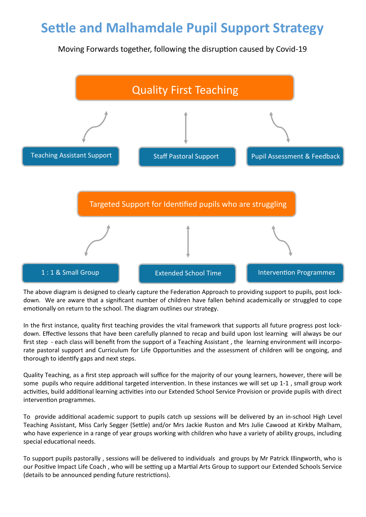## **Settle and Malhamdale Pupil Support Strategy**

Moving Forwards together, following the disruption caused by Covid-19



The above diagram is designed to clearly capture the Federation Approach to providing support to pupils, post lockdown. We are aware that a significant number of children have fallen behind academically or struggled to cope emotionally on return to the school. The diagram outlines our strategy.

In the first instance, quality first teaching provides the vital framework that supports all future progress post lockdown. Effective lessons that have been carefully planned to recap and build upon lost learning will always be our first step - each class will benefit from the support of a Teaching Assistant, the learning environment will incorporate pastoral support and Curriculum for Life Opportunities and the assessment of children will be ongoing, and thorough to identify gaps and next steps.

Quality Teaching, as a first step approach will suffice for the majority of our young learners, however, there will be some pupils who require additional targeted intervention. In these instances we will set up 1-1 , small group work activities, build additional learning activities into our Extended School Service Provision or provide pupils with direct intervention programmes.

To provide additional academic support to pupils catch up sessions will be delivered by an in-school High Level Teaching Assistant, Miss Carly Segger (Settle) and/or Mrs Jackie Ruston and Mrs Julie Cawood at Kirkby Malham, who have experience in a range of year groups working with children who have a variety of ability groups, including special educational needs.

To support pupils pastorally , sessions will be delivered to individuals and groups by Mr Patrick Illingworth, who is our Positive Impact Life Coach , who will be setting up a Martial Arts Group to support our Extended Schools Service (details to be announced pending future restrictions).